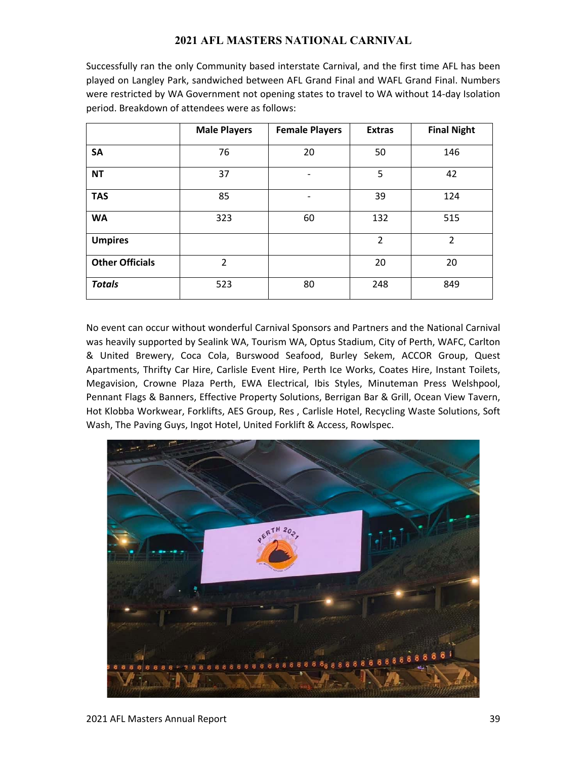# **2021 AFL MASTERS NATIONAL CARNIVAL**

Successfully ran the only Community based interstate Carnival, and the first time AFL has been played on Langley Park, sandwiched between AFL Grand Final and WAFL Grand Final. Numbers were restricted by WA Government not opening states to travel to WA without 14‐day Isolation period. Breakdown of attendees were as follows:

|                        | <b>Male Players</b>     | <b>Female Players</b>        | <b>Extras</b>  | <b>Final Night</b> |
|------------------------|-------------------------|------------------------------|----------------|--------------------|
| SA                     | 76                      | 20                           | 50             | 146                |
| <b>NT</b>              | 37                      | -                            | 5              | 42                 |
| <b>TAS</b>             | 85                      | $\qquad \qquad \blacksquare$ | 39             | 124                |
| <b>WA</b>              | 323                     | 60                           | 132            | 515                |
| <b>Umpires</b>         |                         |                              | $\overline{2}$ | $\overline{2}$     |
| <b>Other Officials</b> | $\overline{\mathbf{c}}$ |                              | 20             | 20                 |
| <b>Totals</b>          | 523                     | 80                           | 248            | 849                |

No event can occur without wonderful Carnival Sponsors and Partners and the National Carnival was heavily supported by Sealink WA, Tourism WA, Optus Stadium, City of Perth, WAFC, Carlton & United Brewery, Coca Cola, Burswood Seafood, Burley Sekem, ACCOR Group, Quest Apartments, Thrifty Car Hire, Carlisle Event Hire, Perth Ice Works, Coates Hire, Instant Toilets, Megavision, Crowne Plaza Perth, EWA Electrical, Ibis Styles, Minuteman Press Welshpool, Pennant Flags & Banners, Effective Property Solutions, Berrigan Bar & Grill, Ocean View Tavern, Hot Klobba Workwear, Forklifts, AES Group, Res , Carlisle Hotel, Recycling Waste Solutions, Soft Wash, The Paving Guys, Ingot Hotel, United Forklift & Access, Rowlspec.

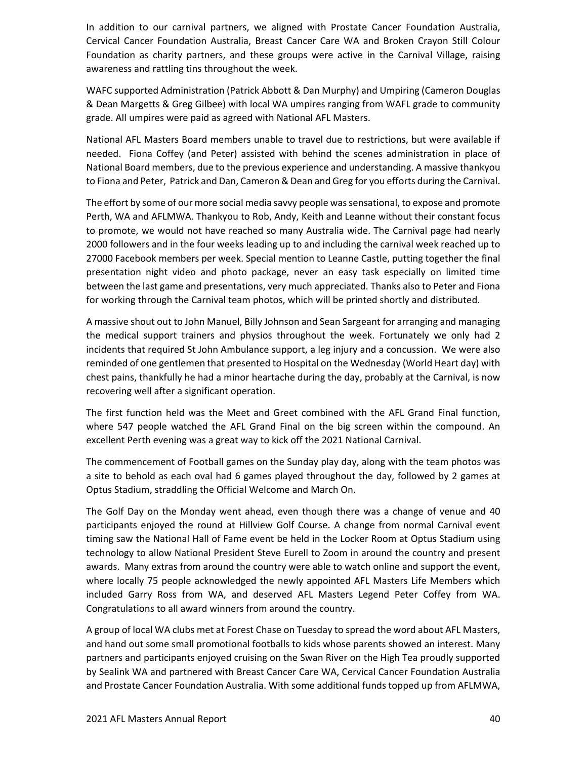In addition to our carnival partners, we aligned with Prostate Cancer Foundation Australia, Cervical Cancer Foundation Australia, Breast Cancer Care WA and Broken Crayon Still Colour Foundation as charity partners, and these groups were active in the Carnival Village, raising awareness and rattling tins throughout the week.

WAFC supported Administration (Patrick Abbott & Dan Murphy) and Umpiring (Cameron Douglas & Dean Margetts & Greg Gilbee) with local WA umpires ranging from WAFL grade to community grade. All umpires were paid as agreed with National AFL Masters.

National AFL Masters Board members unable to travel due to restrictions, but were available if needed. Fiona Coffey (and Peter) assisted with behind the scenes administration in place of National Board members, due to the previous experience and understanding. A massive thankyou to Fiona and Peter, Patrick and Dan, Cameron & Dean and Greg for you efforts during the Carnival.

The effort by some of our more social media savvy people was sensational, to expose and promote Perth, WA and AFLMWA. Thankyou to Rob, Andy, Keith and Leanne without their constant focus to promote, we would not have reached so many Australia wide. The Carnival page had nearly 2000 followers and in the four weeks leading up to and including the carnival week reached up to 27000 Facebook members per week. Special mention to Leanne Castle, putting together the final presentation night video and photo package, never an easy task especially on limited time between the last game and presentations, very much appreciated. Thanks also to Peter and Fiona for working through the Carnival team photos, which will be printed shortly and distributed.

A massive shout out to John Manuel, Billy Johnson and Sean Sargeant for arranging and managing the medical support trainers and physios throughout the week. Fortunately we only had 2 incidents that required St John Ambulance support, a leg injury and a concussion. We were also reminded of one gentlemen that presented to Hospital on the Wednesday (World Heart day) with chest pains, thankfully he had a minor heartache during the day, probably at the Carnival, is now recovering well after a significant operation.

The first function held was the Meet and Greet combined with the AFL Grand Final function, where 547 people watched the AFL Grand Final on the big screen within the compound. An excellent Perth evening was a great way to kick off the 2021 National Carnival.

The commencement of Football games on the Sunday play day, along with the team photos was a site to behold as each oval had 6 games played throughout the day, followed by 2 games at Optus Stadium, straddling the Official Welcome and March On.

The Golf Day on the Monday went ahead, even though there was a change of venue and 40 participants enjoyed the round at Hillview Golf Course. A change from normal Carnival event timing saw the National Hall of Fame event be held in the Locker Room at Optus Stadium using technology to allow National President Steve Eurell to Zoom in around the country and present awards. Many extras from around the country were able to watch online and support the event, where locally 75 people acknowledged the newly appointed AFL Masters Life Members which included Garry Ross from WA, and deserved AFL Masters Legend Peter Coffey from WA. Congratulations to all award winners from around the country.

A group of local WA clubs met at Forest Chase on Tuesday to spread the word about AFL Masters, and hand out some small promotional footballs to kids whose parents showed an interest. Many partners and participants enjoyed cruising on the Swan River on the High Tea proudly supported by Sealink WA and partnered with Breast Cancer Care WA, Cervical Cancer Foundation Australia and Prostate Cancer Foundation Australia. With some additional funds topped up from AFLMWA,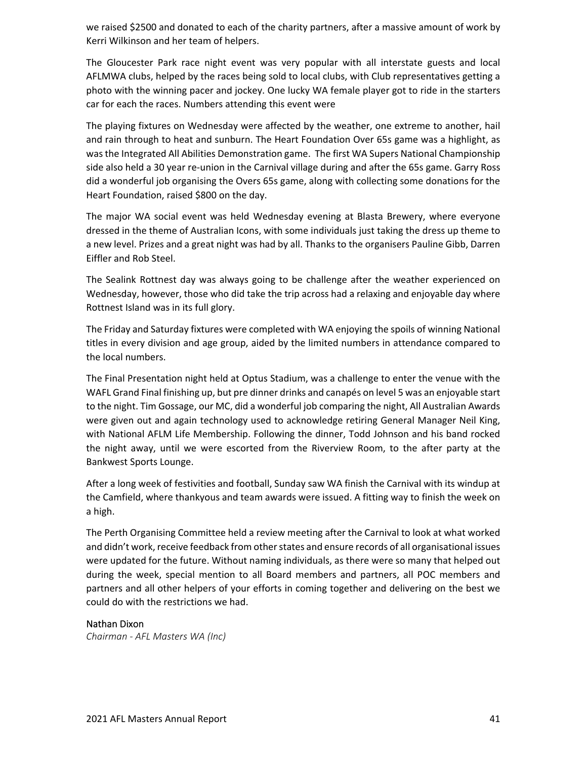we raised \$2500 and donated to each of the charity partners, after a massive amount of work by Kerri Wilkinson and her team of helpers.

The Gloucester Park race night event was very popular with all interstate guests and local AFLMWA clubs, helped by the races being sold to local clubs, with Club representatives getting a photo with the winning pacer and jockey. One lucky WA female player got to ride in the starters car for each the races. Numbers attending this event were

The playing fixtures on Wednesday were affected by the weather, one extreme to another, hail and rain through to heat and sunburn. The Heart Foundation Over 65s game was a highlight, as was the Integrated All Abilities Demonstration game. The first WA Supers National Championship side also held a 30 year re-union in the Carnival village during and after the 65s game. Garry Ross did a wonderful job organising the Overs 65s game, along with collecting some donations for the Heart Foundation, raised \$800 on the day.

The major WA social event was held Wednesday evening at Blasta Brewery, where everyone dressed in the theme of Australian Icons, with some individuals just taking the dress up theme to a new level. Prizes and a great night was had by all. Thanks to the organisers Pauline Gibb, Darren Eiffler and Rob Steel.

The Sealink Rottnest day was always going to be challenge after the weather experienced on Wednesday, however, those who did take the trip across had a relaxing and enjoyable day where Rottnest Island was in its full glory.

The Friday and Saturday fixtures were completed with WA enjoying the spoils of winning National titles in every division and age group, aided by the limited numbers in attendance compared to the local numbers.

The Final Presentation night held at Optus Stadium, was a challenge to enter the venue with the WAFL Grand Final finishing up, but pre dinner drinks and canapés on level 5 was an enjoyable start to the night. Tim Gossage, our MC, did a wonderful job comparing the night, All Australian Awards were given out and again technology used to acknowledge retiring General Manager Neil King, with National AFLM Life Membership. Following the dinner, Todd Johnson and his band rocked the night away, until we were escorted from the Riverview Room, to the after party at the Bankwest Sports Lounge.

After a long week of festivities and football, Sunday saw WA finish the Carnival with its windup at the Camfield, where thankyous and team awards were issued. A fitting way to finish the week on a high.

The Perth Organising Committee held a review meeting after the Carnival to look at what worked and didn't work, receive feedback from other states and ensure records of all organisational issues were updated for the future. Without naming individuals, as there were so many that helped out during the week, special mention to all Board members and partners, all POC members and partners and all other helpers of your efforts in coming together and delivering on the best we could do with the restrictions we had.

# Nathan Dixon

*Chairman ‐ AFL Masters WA (Inc)*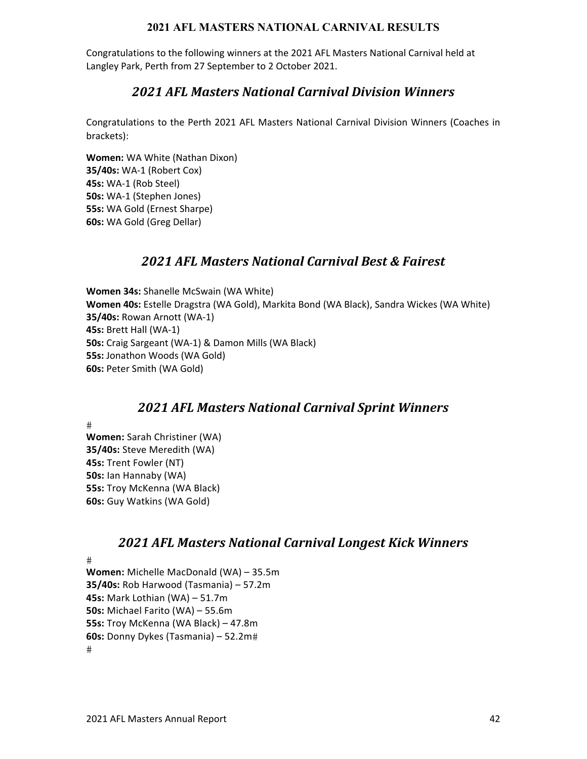# **2021 AFL MASTERS NATIONAL CARNIVAL RESULTS**

Congratulations to the following winners at the 2021 AFL Masters National Carnival held at Langley Park, Perth from 27 September to 2 October 2021.

# *2021 AFL Masters National Carnival Division Winners*

Congratulations to the Perth 2021 AFL Masters National Carnival Division Winners (Coaches in brackets):

**Women:** WA White (Nathan Dixon) **35/40s:** WA‐1 (Robert Cox) **45s:** WA‐1 (Rob Steel) **50s:** WA‐1 (Stephen Jones) **55s:** WA Gold (Ernest Sharpe) **60s:** WA Gold (Greg Dellar)

# *2021 AFL Masters National Carnival Best & Fairest*

**Women 34s:** Shanelle McSwain (WA White) **Women 40s:** Estelle Dragstra (WA Gold), Markita Bond (WA Black), Sandra Wickes (WA White) **35/40s:** Rowan Arnott (WA‐1) **45s:** Brett Hall (WA‐1) **50s:** Craig Sargeant (WA‐1) & Damon Mills (WA Black) **55s:** Jonathon Woods (WA Gold) **60s:** Peter Smith (WA Gold)

# *2021 AFL Masters National Carnival Sprint Winners*

 $#$ 

**Women:** Sarah Christiner (WA) **35/40s:** Steve Meredith (WA) **45s:** Trent Fowler (NT) **50s:** Ian Hannaby (WA) **55s:** Troy McKenna (WA Black) **60s:** Guy Watkins (WA Gold)

# *2021 AFL Masters National Carnival Longest Kick Winners*

 $#$ 

**Women:** Michelle MacDonald (WA) – 35.5m **35/40s:** Rob Harwood (Tasmania) – 57.2m **45s:** Mark Lothian (WA) – 51.7m **50s:** Michael Farito (WA) – 55.6m **55s:** Troy McKenna (WA Black) – 47.8m **60s:** Donny Dykes (Tasmania) – 52.2m  $#$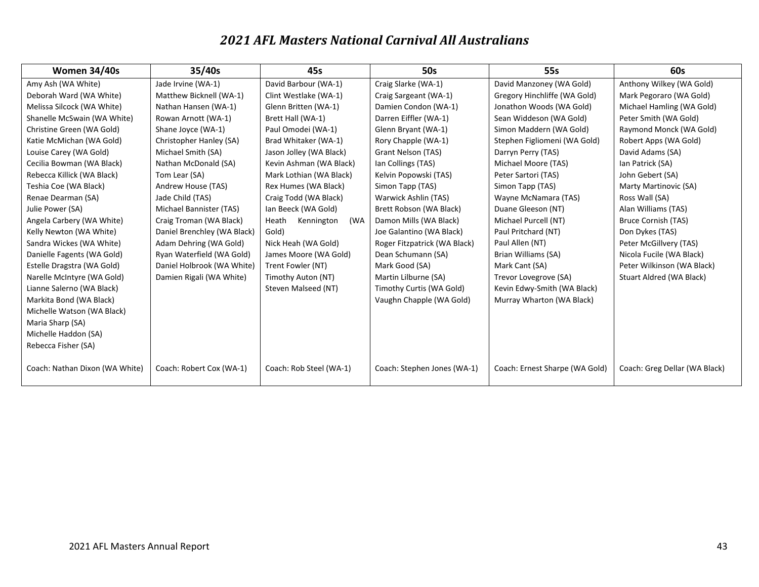# *2021 AFL Masters National Carnival All Australians*

| <b>Women 34/40s</b>            | 35/40s                      | 45s                        | 50s                          | 55s                            | 60s                           |
|--------------------------------|-----------------------------|----------------------------|------------------------------|--------------------------------|-------------------------------|
| Amy Ash (WA White)             | Jade Irvine (WA-1)          | David Barbour (WA-1)       | Craig Slarke (WA-1)          | David Manzoney (WA Gold)       | Anthony Wilkey (WA Gold)      |
| Deborah Ward (WA White)        | Matthew Bicknell (WA-1)     | Clint Westlake (WA-1)      | Craig Sargeant (WA-1)        | Gregory Hinchliffe (WA Gold)   | Mark Pegoraro (WA Gold)       |
| Melissa Silcock (WA White)     | Nathan Hansen (WA-1)        | Glenn Britten (WA-1)       | Damien Condon (WA-1)         | Jonathon Woods (WA Gold)       | Michael Hamling (WA Gold)     |
| Shanelle McSwain (WA White)    | Rowan Arnott (WA-1)         | Brett Hall (WA-1)          | Darren Eiffler (WA-1)        | Sean Widdeson (WA Gold)        | Peter Smith (WA Gold)         |
| Christine Green (WA Gold)      | Shane Joyce (WA-1)          | Paul Omodei (WA-1)         | Glenn Bryant (WA-1)          | Simon Maddern (WA Gold)        | Raymond Monck (WA Gold)       |
| Katie McMichan (WA Gold)       | Christopher Hanley (SA)     | Brad Whitaker (WA-1)       | Rory Chapple (WA-1)          | Stephen Figliomeni (WA Gold)   | Robert Apps (WA Gold)         |
| Louise Carey (WA Gold)         | Michael Smith (SA)          | Jason Jolley (WA Black)    | Grant Nelson (TAS)           | Darryn Perry (TAS)             | David Adams (SA)              |
| Cecilia Bowman (WA Black)      | Nathan McDonald (SA)        | Kevin Ashman (WA Black)    | Ian Collings (TAS)           | Michael Moore (TAS)            | lan Patrick (SA)              |
| Rebecca Killick (WA Black)     | Tom Lear (SA)               | Mark Lothian (WA Black)    | Kelvin Popowski (TAS)        | Peter Sartori (TAS)            | John Gebert (SA)              |
| Teshia Coe (WA Black)          | Andrew House (TAS)          | Rex Humes (WA Black)       | Simon Tapp (TAS)             | Simon Tapp (TAS)               | Marty Martinovic (SA)         |
| Renae Dearman (SA)             | Jade Child (TAS)            | Craig Todd (WA Black)      | Warwick Ashlin (TAS)         | Wayne McNamara (TAS)           | Ross Wall (SA)                |
| Julie Power (SA)               | Michael Bannister (TAS)     | Ian Beeck (WA Gold)        | Brett Robson (WA Black)      | Duane Gleeson (NT)             | Alan Williams (TAS)           |
| Angela Carbery (WA White)      | Craig Troman (WA Black)     | (WA<br>Heath<br>Kennington | Damon Mills (WA Black)       | Michael Purcell (NT)           | Bruce Cornish (TAS)           |
| Kelly Newton (WA White)        | Daniel Brenchley (WA Black) | Gold)                      | Joe Galantino (WA Black)     | Paul Pritchard (NT)            | Don Dykes (TAS)               |
| Sandra Wickes (WA White)       | Adam Dehring (WA Gold)      | Nick Heah (WA Gold)        | Roger Fitzpatrick (WA Black) | Paul Allen (NT)                | Peter McGillvery (TAS)        |
| Danielle Fagents (WA Gold)     | Ryan Waterfield (WA Gold)   | James Moore (WA Gold)      | Dean Schumann (SA)           | Brian Williams (SA)            | Nicola Fucile (WA Black)      |
| Estelle Dragstra (WA Gold)     | Daniel Holbrook (WA White)  | Trent Fowler (NT)          | Mark Good (SA)               | Mark Cant (SA)                 | Peter Wilkinson (WA Black)    |
| Narelle McIntyre (WA Gold)     | Damien Rigali (WA White)    | Timothy Auton (NT)         | Martin Lilburne (SA)         | Trevor Lovegrove (SA)          | Stuart Aldred (WA Black)      |
| Lianne Salerno (WA Black)      |                             | Steven Malseed (NT)        | Timothy Curtis (WA Gold)     | Kevin Edwy-Smith (WA Black)    |                               |
| Markita Bond (WA Black)        |                             |                            | Vaughn Chapple (WA Gold)     | Murray Wharton (WA Black)      |                               |
| Michelle Watson (WA Black)     |                             |                            |                              |                                |                               |
| Maria Sharp (SA)               |                             |                            |                              |                                |                               |
| Michelle Haddon (SA)           |                             |                            |                              |                                |                               |
| Rebecca Fisher (SA)            |                             |                            |                              |                                |                               |
| Coach: Nathan Dixon (WA White) | Coach: Robert Cox (WA-1)    | Coach: Rob Steel (WA-1)    | Coach: Stephen Jones (WA-1)  | Coach: Ernest Sharpe (WA Gold) | Coach: Greg Dellar (WA Black) |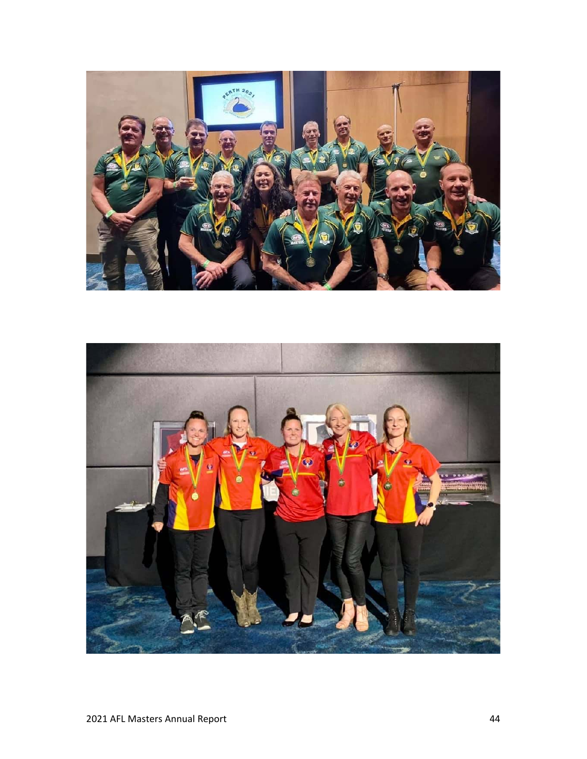

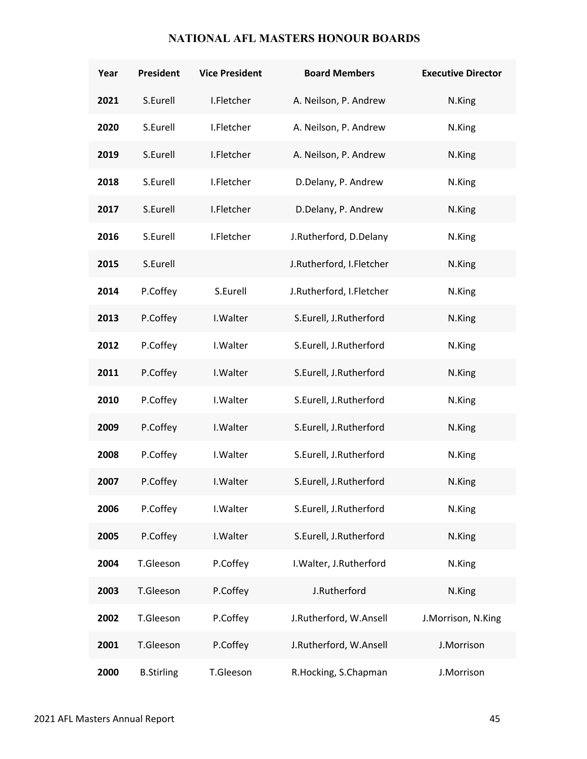# **NATIONAL AFL MASTERS HONOUR BOARDS**

| Year | President         | <b>Vice President</b> | <b>Board Members</b>     | <b>Executive Director</b> |
|------|-------------------|-----------------------|--------------------------|---------------------------|
| 2021 | S.Eurell          | I.Fletcher            | A. Neilson, P. Andrew    | N.King                    |
| 2020 | S.Eurell          | I.Fletcher            | A. Neilson, P. Andrew    | N.King                    |
| 2019 | S.Eurell          | I.Fletcher            | A. Neilson, P. Andrew    | N.King                    |
| 2018 | S.Eurell          | I.Fletcher            | D.Delany, P. Andrew      | N.King                    |
| 2017 | S.Eurell          | I.Fletcher            | D.Delany, P. Andrew      | N.King                    |
| 2016 | S.Eurell          | I.Fletcher            | J.Rutherford, D.Delany   | N.King                    |
| 2015 | S.Eurell          |                       | J.Rutherford, I.Fletcher | N.King                    |
| 2014 | P.Coffey          | S.Eurell              | J.Rutherford, I.Fletcher | N.King                    |
| 2013 | P.Coffey          | I. Walter             | S.Eurell, J.Rutherford   | N.King                    |
| 2012 | P.Coffey          | I. Walter             | S.Eurell, J.Rutherford   | N.King                    |
| 2011 | P.Coffey          | I. Walter             | S.Eurell, J.Rutherford   | N.King                    |
| 2010 | P.Coffey          | I. Walter             | S.Eurell, J.Rutherford   | N.King                    |
| 2009 | P.Coffey          | I. Walter             | S.Eurell, J.Rutherford   | N.King                    |
| 2008 | P.Coffey          | I. Walter             | S.Eurell, J.Rutherford   | N.King                    |
| 2007 | P.Coffey          | I. Walter             | S.Eurell, J.Rutherford   | N.King                    |
| 2006 | P.Coffey          | I. Walter             | S.Eurell, J.Rutherford   | N.King                    |
| 2005 | P.Coffey          | I. Walter             | S.Eurell, J.Rutherford   | N.King                    |
| 2004 | T.Gleeson         | P.Coffey              | I. Walter, J. Rutherford | N.King                    |
| 2003 | T.Gleeson         | P.Coffey              | J.Rutherford             | N.King                    |
| 2002 | T.Gleeson         | P.Coffey              | J.Rutherford, W.Ansell   | J.Morrison, N.King        |
| 2001 | T.Gleeson         | P.Coffey              | J.Rutherford, W.Ansell   | J.Morrison                |
| 2000 | <b>B.Stirling</b> | T.Gleeson             | R.Hocking, S.Chapman     | J.Morrison                |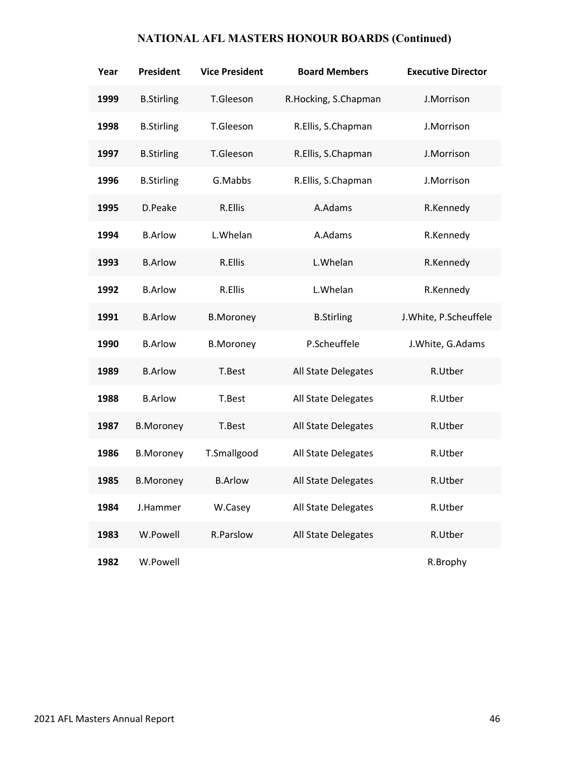# **NATIONAL AFL MASTERS HONOUR BOARDS (Continued)**

| Year | President         | <b>Vice President</b> | <b>Board Members</b> | <b>Executive Director</b> |
|------|-------------------|-----------------------|----------------------|---------------------------|
| 1999 | <b>B.Stirling</b> | T.Gleeson             | R.Hocking, S.Chapman | J.Morrison                |
| 1998 | <b>B.Stirling</b> | T.Gleeson             | R.Ellis, S.Chapman   | J.Morrison                |
| 1997 | <b>B.Stirling</b> | T.Gleeson             | R.Ellis, S.Chapman   | J.Morrison                |
| 1996 | <b>B.Stirling</b> | G.Mabbs               | R.Ellis, S.Chapman   | J.Morrison                |
| 1995 | D.Peake           | R.Ellis               | A.Adams              | R.Kennedy                 |
| 1994 | <b>B.Arlow</b>    | L.Whelan              | A.Adams              | R.Kennedy                 |
| 1993 | <b>B.Arlow</b>    | R.Ellis               | L.Whelan             | R.Kennedy                 |
| 1992 | <b>B.Arlow</b>    | R.Ellis               | L.Whelan             | R.Kennedy                 |
| 1991 | <b>B.Arlow</b>    | <b>B.Moroney</b>      | <b>B.Stirling</b>    | J.White, P.Scheuffele     |
| 1990 | <b>B.Arlow</b>    | <b>B.Moroney</b>      | P.Scheuffele         | J.White, G.Adams          |
| 1989 | <b>B.Arlow</b>    | T.Best                | All State Delegates  | R.Utber                   |
| 1988 | <b>B.Arlow</b>    | T.Best                | All State Delegates  | R.Utber                   |
| 1987 | <b>B.Moroney</b>  | T.Best                | All State Delegates  | R.Utber                   |
| 1986 | <b>B.Moroney</b>  | T.Smallgood           | All State Delegates  | R.Utber                   |
| 1985 | <b>B.Moroney</b>  | <b>B.Arlow</b>        | All State Delegates  | R.Utber                   |
| 1984 | J.Hammer          | W.Casey               | All State Delegates  | R.Utber                   |
| 1983 | W.Powell          | R.Parslow             | All State Delegates  | R.Utber                   |
| 1982 | W.Powell          |                       |                      | R.Brophy                  |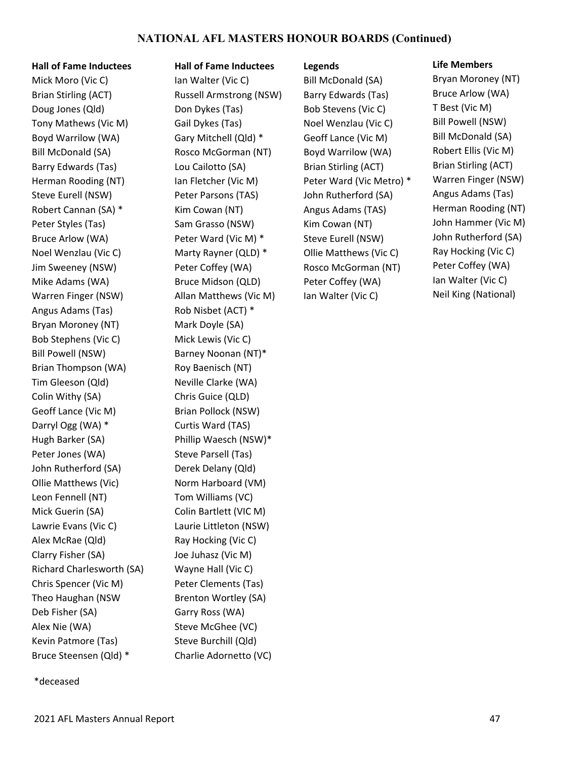# **NATIONAL AFL MASTERS HONOUR BOARDS (Continued)**

Brian Stirling (ACT) **Russell Armstrong (NSW)** Barry Edwards (Tas) Bruce Arlow (WA) Doug Jones (Qld) Don Dykes (Tas) Bob Stevens (Vic C) T Best (Vic M) Tony Mathews (Vic M) Gail Dykes (Tas) Noel Wenzlau (Vic C) Bill Powell (NSW) Boyd Warrilow (WA) **Gary Mitchell (Qld) \*** Geoff Lance (Vic M) Bill McDonald (SA) Bill McDonald (SA) **Rosco McGorman (NT)** Boyd Warrilow (WA) Robert Ellis (Vic M) Barry Edwards (Tas) Lou Cailotto (SA) Brian Stirling (ACT) Brian Stirling (ACT) Herman Rooding (NT) lan Fletcher (Vic M) Peter Ward (Vic Metro) \* Warren Finger (NSW) Steve Eurell (NSW) **Peter Parsons (TAS)** John Rutherford (SA) Angus Adams (Tas) Robert Cannan (SA) \* Kim Cowan (NT) Angus Adams (TAS) Herman Rooding (NT) Peter Styles (Tas) Sam Grasso (NSW) Kim Cowan (NT) John Hammer (Vic M) Bruce Arlow (WA) **Peter Ward (Vic M) \*** Steve Eurell (NSW) John Rutherford (SA) Noel Wenzlau (Vic C) Marty Rayner (QLD) \* Ollie Matthews (Vic C) Ray Hocking (Vic C) Jim Sweeney (NSW) Peter Coffey (WA) Rosco McGorman (NT) Peter Coffey (WA) Mike Adams (WA) Bruce Midson (QLD) Peter Coffey (WA) Ian Walter (Vic C) Warren Finger (NSW) Allan Matthews (Vic M) Ian Walter (Vic C) Neil King (National) Angus Adams (Tas) Rob Nisbet (ACT) \* Bryan Moroney (NT) Mark Doyle (SA) Bob Stephens (Vic C) Mick Lewis (Vic C) Bill Powell (NSW) Barney Noonan (NT)\* Brian Thompson (WA) Roy Baenisch (NT) Tim Gleeson (Qld) Neville Clarke (WA) Colin Withy (SA) Chris Guice (QLD) Geoff Lance (Vic M) Brian Pollock (NSW) Darryl Ogg (WA) \* Curtis Ward (TAS) Hugh Barker (SA) Phillip Waesch (NSW)\* Peter Jones (WA) Steve Parsell (Tas) John Rutherford (SA) Derek Delany (Qld) Ollie Matthews (Vic) Norm Harboard (VM) Leon Fennell (NT) Tom Williams (VC) Mick Guerin (SA) Colin Bartlett (VIC M) Lawrie Evans (Vic C) Laurie Littleton (NSW) Alex McRae (Qld) Ray Hocking (Vic C) Clarry Fisher (SA) Joe Juhasz (Vic M) Richard Charlesworth (SA) Wayne Hall (Vic C) Chris Spencer (Vic M) Peter Clements (Tas) Theo Haughan (NSW Brenton Wortley (SA) Deb Fisher (SA) Garry Ross (WA) Alex Nie (WA) Steve McGhee (VC) Kevin Patmore (Tas) Steve Burchill (Qld)

\*deceased

## **Hall of Fame Inductees Hall of Fame Inductees Legends Life Members**

Mick Moro (Vic C) Ian Walter (Vic C) Bill McDonald (SA) Bryan Moroney (NT) Bruce Steensen (Qld) \* Charlie Adornetto (VC)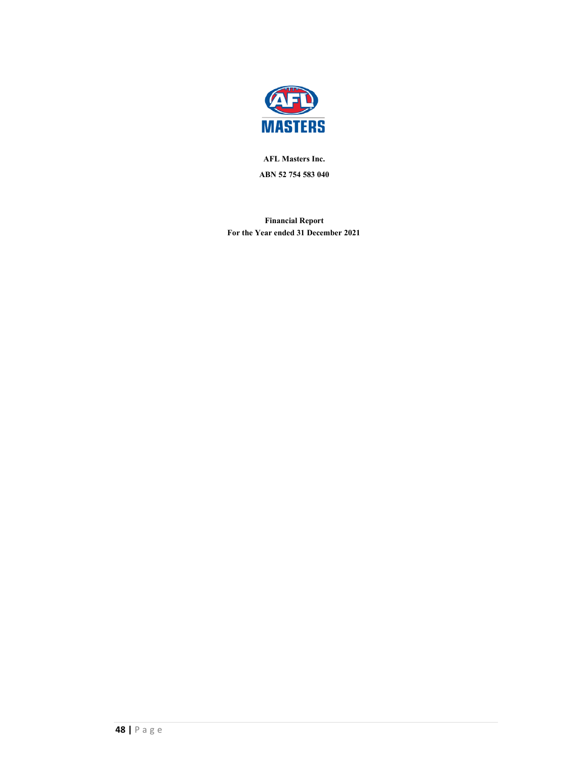

**AFL Masters Inc. ABN 52 754 583 040** 

**Financial Report For the Year ended 31 December 2021**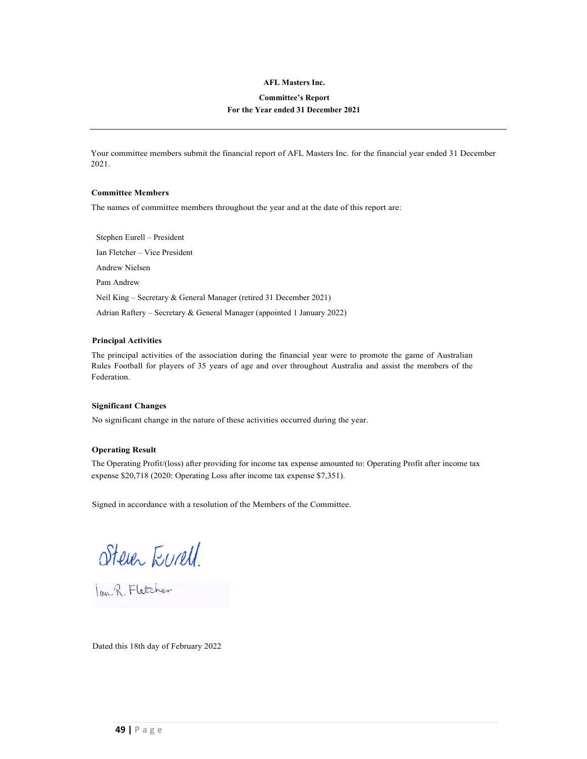### **AFL Masters Inc.**

## **Committee's Report For the Year ended 31 December 2021**

Your committee members submit the financial report of AFL Masters Inc. for the financial year ended 31 December 2021.

## **Committee Members**

The names of committee members throughout the year and at the date of this report are:

Stephen Eurell – President Ian Fletcher – Vice President Andrew Nielsen Pam Andrew Neil King – Secretary & General Manager (retired 31 December 2021) Adrian Raftery – Secretary & General Manager (appointed 1 January 2022)

#### **Principal Activities**

The principal activities of the association during the financial year were to promote the game of Australian Rules Football for players of 35 years of age and over throughout Australia and assist the members of the Federation.

## **Significant Changes**

No significant change in the nature of these activities occurred during the year.

#### **Operating Result**

The Operating Profit/(loss) after providing for income tax expense amounted to: Operating Profit after income tax expense \$20,718 (2020: Operating Loss after income tax expense \$7,351).

Signed in accordance with a resolution of the Members of the Committee.

Oteller FURU.

Dated this 18th day of February 2022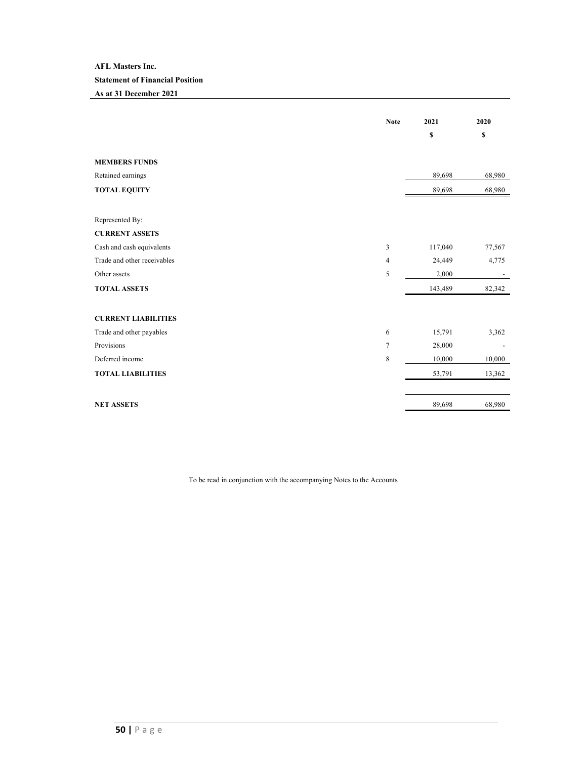|                             | <b>Note</b> | 2021    | 2020                     |
|-----------------------------|-------------|---------|--------------------------|
|                             |             | \$      | \$                       |
| <b>MEMBERS FUNDS</b>        |             |         |                          |
| Retained earnings           |             | 89,698  | 68,980                   |
| <b>TOTAL EQUITY</b>         |             | 89,698  | 68,980                   |
| Represented By:             |             |         |                          |
| <b>CURRENT ASSETS</b>       |             |         |                          |
| Cash and cash equivalents   | 3           | 117,040 | 77,567                   |
| Trade and other receivables | 4           | 24,449  | 4,775                    |
| Other assets                | 5           | 2,000   | $\overline{\phantom{a}}$ |
| <b>TOTAL ASSETS</b>         |             | 143,489 | 82,342                   |
| <b>CURRENT LIABILITIES</b>  |             |         |                          |
| Trade and other payables    | 6           | 15,791  | 3,362                    |
| Provisions                  | 7           | 28,000  | $\overline{\phantom{a}}$ |
| Deferred income             | 8           | 10,000  | 10,000                   |
| <b>TOTAL LIABILITIES</b>    |             | 53,791  | 13,362                   |
| <b>NET ASSETS</b>           |             | 89,698  | 68,980                   |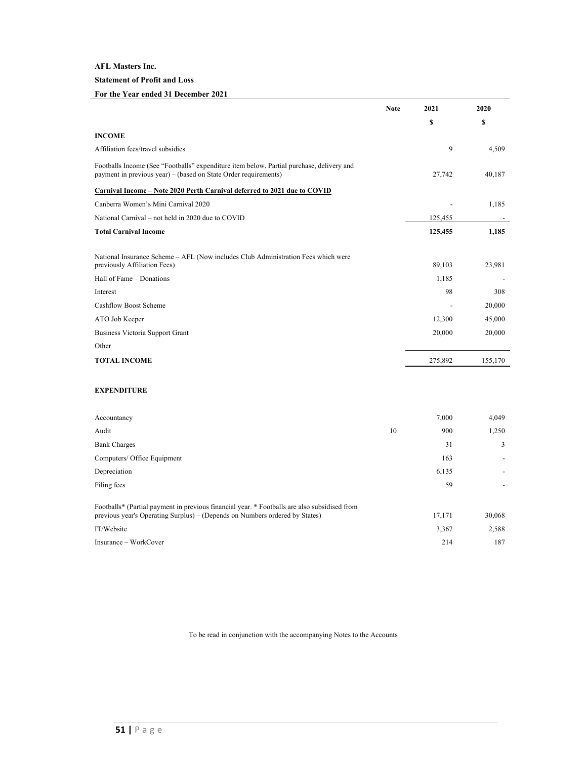**AFL Masters Inc.** 

## **Statement of Profit and Loss**

# **For the Year ended 31 December 2021**

|                                                                                                                                                             | <b>Note</b> | 2021    | 2020    |
|-------------------------------------------------------------------------------------------------------------------------------------------------------------|-------------|---------|---------|
|                                                                                                                                                             |             | \$      | \$      |
| <b>INCOME</b>                                                                                                                                               |             |         |         |
| Affiliation fees/travel subsidies                                                                                                                           |             | 9       | 4,509   |
| Footballs Income (See "Footballs" expenditure item below. Partial purchase, delivery and<br>payment in previous year) – (based on State Order requirements) |             | 27,742  | 40,187  |
| Carnival Income – Note 2020 Perth Carnival deferred to 2021 due to COVID                                                                                    |             |         |         |
| Canberra Women's Mini Carnival 2020                                                                                                                         |             |         | 1,185   |
| National Carnival – not held in 2020 due to COVID                                                                                                           |             | 125,455 |         |
| <b>Total Carnival Income</b>                                                                                                                                |             | 125,455 | 1,185   |
| National Insurance Scheme – AFL (Now includes Club Administration Fees which were<br>previously Affiliation Fees)                                           |             | 89,103  | 23,981  |
| Hall of Fame - Donations                                                                                                                                    |             | 1,185   |         |
| Interest                                                                                                                                                    |             | 98      | 308     |
| Cashflow Boost Scheme                                                                                                                                       |             |         | 20,000  |
| ATO Job Keeper                                                                                                                                              |             | 12,300  | 45,000  |
| <b>Business Victoria Support Grant</b>                                                                                                                      |             | 20,000  | 20,000  |
| Other                                                                                                                                                       |             |         |         |
| <b>TOTAL INCOME</b>                                                                                                                                         |             | 275,892 | 155,170 |
|                                                                                                                                                             |             |         |         |
|                                                                                                                                                             |             |         |         |

## **EXPENDITURE**

| Accountancy                                                                                  |    | 7,000  | 4,049  |
|----------------------------------------------------------------------------------------------|----|--------|--------|
| Audit                                                                                        | 10 | 900    | 1,250  |
| <b>Bank Charges</b>                                                                          |    | 31     | 3      |
| Computers/ Office Equipment                                                                  |    | 163    |        |
| Depreciation                                                                                 |    | 6,135  |        |
| Filing fees                                                                                  |    | 59     |        |
| Footballs* (Partial payment in previous financial year. * Footballs are also subsidised from |    |        |        |
| previous year's Operating Surplus) – (Depends on Numbers ordered by States)                  |    | 17.171 | 30,068 |
| IT/Website                                                                                   |    | 3,367  | 2,588  |
| Insurance – WorkCover                                                                        |    | 214    | 187    |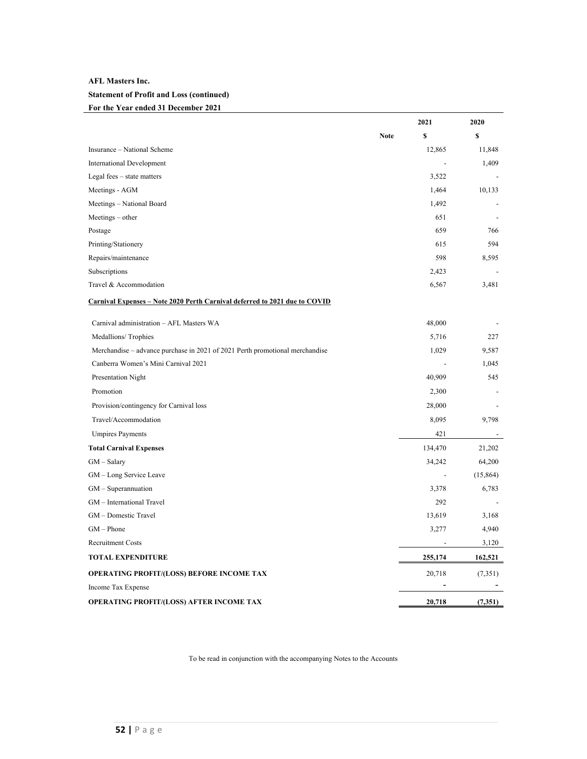# **AFL Masters Inc. Statement of Profit and Loss (continued) For the Year ended 31 December 2021**

|                                                                              |             | 2021    | 2020      |
|------------------------------------------------------------------------------|-------------|---------|-----------|
|                                                                              | <b>Note</b> | \$      | \$        |
| Insurance - National Scheme                                                  |             | 12,865  | 11,848    |
| <b>International Development</b>                                             |             |         | 1,409     |
| Legal fees - state matters                                                   |             | 3,522   |           |
| Meetings - AGM                                                               |             | 1,464   | 10,133    |
| Meetings - National Board                                                    |             | 1,492   |           |
| Meetings – other                                                             |             | 651     |           |
| Postage                                                                      |             | 659     | 766       |
| Printing/Stationery                                                          |             | 615     | 594       |
| Repairs/maintenance                                                          |             | 598     | 8,595     |
| Subscriptions                                                                |             | 2,423   |           |
| Travel & Accommodation                                                       |             | 6,567   | 3,481     |
| Carnival Expenses - Note 2020 Perth Carnival deferred to 2021 due to COVID   |             |         |           |
| Carnival administration - AFL Masters WA                                     |             | 48,000  |           |
| Medallions/Trophies                                                          |             | 5,716   | 227       |
| Merchandise – advance purchase in 2021 of 2021 Perth promotional merchandise |             | 1,029   | 9,587     |
| Canberra Women's Mini Carnival 2021                                          |             |         | 1,045     |
| Presentation Night                                                           |             | 40,909  | 545       |
| Promotion                                                                    |             | 2,300   |           |
| Provision/contingency for Carnival loss                                      |             | 28,000  |           |
| Travel/Accommodation                                                         |             | 8,095   | 9,798     |
| <b>Umpires Payments</b>                                                      |             | 421     |           |
| <b>Total Carnival Expenses</b>                                               |             | 134,470 | 21,202    |
| $GM - Salary$                                                                |             | 34,242  | 64,200    |
| GM - Long Service Leave                                                      |             |         | (15, 864) |
| $GM - Superannuation$                                                        |             | 3,378   | 6,783     |
| GM - International Travel                                                    |             | 292     |           |
| GM - Domestic Travel                                                         |             | 13,619  | 3,168     |
| $GM - Phone$                                                                 |             | 3,277   | 4,940     |
| <b>Recruitment Costs</b>                                                     |             |         | 3,120     |
| <b>TOTAL EXPENDITURE</b>                                                     |             | 255,174 | 162,521   |
| <b>OPERATING PROFIT/(LOSS) BEFORE INCOME TAX</b>                             |             | 20,718  | (7, 351)  |
| Income Tax Expense                                                           |             |         |           |
| OPERATING PROFIT/(LOSS) AFTER INCOME TAX                                     |             | 20,718  | (7,351)   |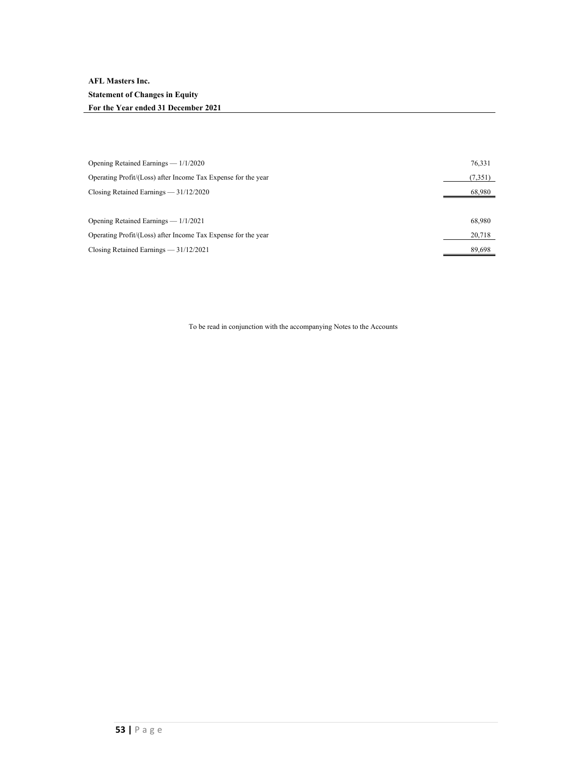| Opening Retained Earnings $-1/1/2020$                         | 76,331  |
|---------------------------------------------------------------|---------|
| Operating Profit/(Loss) after Income Tax Expense for the year | (7,351) |
| Closing Retained Earnings $-31/12/2020$                       | 68,980  |
|                                                               |         |
| Opening Retained Earnings $-1/1/2021$                         | 68,980  |
| Operating Profit/(Loss) after Income Tax Expense for the year | 20,718  |
| Closing Retained Earnings $-31/12/2021$                       | 89,698  |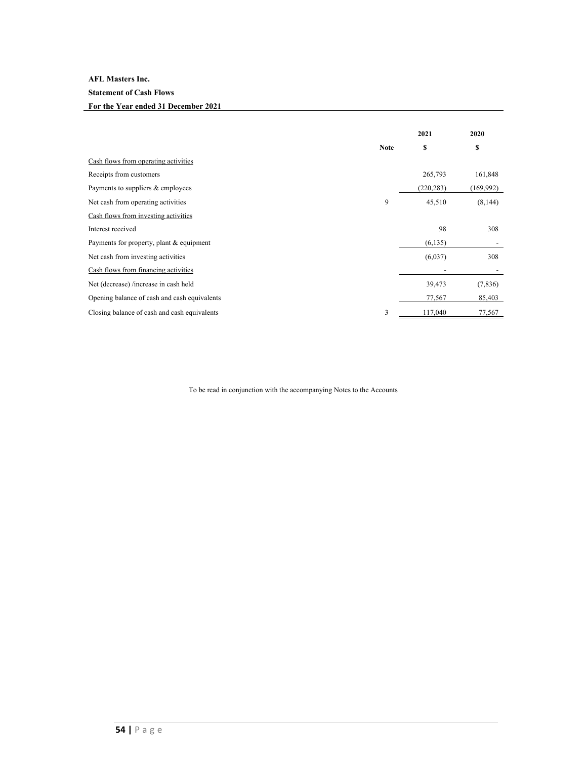# **AFL Masters Inc. Statement of Cash Flows For the Year ended 31 December 2021**

|                                              |             | 2021       | 2020       |
|----------------------------------------------|-------------|------------|------------|
|                                              | <b>Note</b> | \$         | \$         |
| Cash flows from operating activities         |             |            |            |
| Receipts from customers                      |             | 265,793    | 161,848    |
| Payments to suppliers & employees            |             | (220, 283) | (169, 992) |
| Net cash from operating activities           | 9           | 45,510     | (8, 144)   |
| Cash flows from investing activities         |             |            |            |
| Interest received                            |             | 98         | 308        |
| Payments for property, plant & equipment     |             | (6, 135)   |            |
| Net cash from investing activities           |             | (6,037)    | 308        |
| Cash flows from financing activities         |             |            |            |
| Net (decrease) /increase in cash held        |             | 39,473     | (7, 836)   |
| Opening balance of cash and cash equivalents |             | 77,567     | 85,403     |
| Closing balance of cash and cash equivalents | 3           | 117,040    | 77,567     |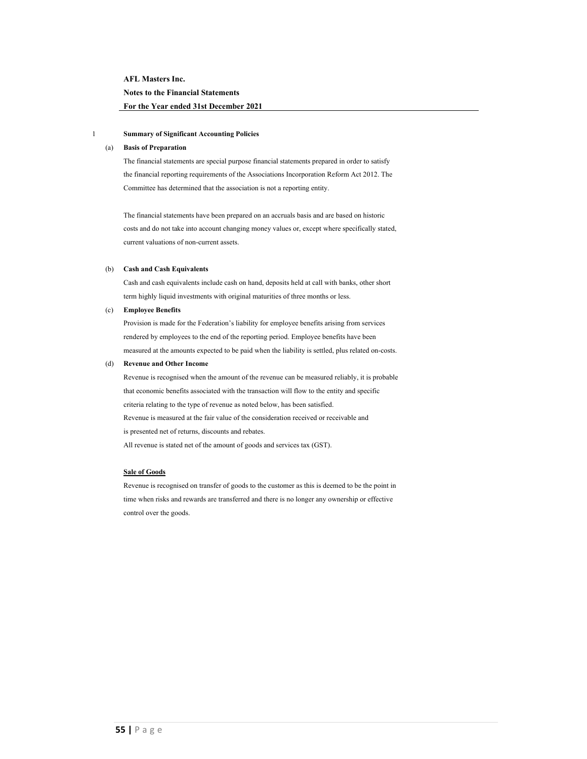**AFL Masters Inc. Notes to the Financial Statements For the Year ended 31st December 2021** 

#### 1 **Summary of Significant Accounting Policies**

## (a) **Basis of Preparation**

 The financial statements are special purpose financial statements prepared in order to satisfy the financial reporting requirements of the Associations Incorporation Reform Act 2012. The Committee has determined that the association is not a reporting entity.

 The financial statements have been prepared on an accruals basis and are based on historic costs and do not take into account changing money values or, except where specifically stated, current valuations of non-current assets.

#### (b) **Cash and Cash Equivalents**

 Cash and cash equivalents include cash on hand, deposits held at call with banks, other short term highly liquid investments with original maturities of three months or less.

## (c) **Employee Benefits**

 Provision is made for the Federation's liability for employee benefits arising from services rendered by employees to the end of the reporting period. Employee benefits have been measured at the amounts expected to be paid when the liability is settled, plus related on-costs.

#### (d) **Revenue and Other Income**

Revenue is recognised when the amount of the revenue can be measured reliably, it is probable that economic benefits associated with the transaction will flow to the entity and specific criteria relating to the type of revenue as noted below, has been satisfied.

 Revenue is measured at the fair value of the consideration received or receivable and is presented net of returns, discounts and rebates.

All revenue is stated net of the amount of goods and services tax (GST).

## **Sale of Goods**

 Revenue is recognised on transfer of goods to the customer as this is deemed to be the point in time when risks and rewards are transferred and there is no longer any ownership or effective control over the goods.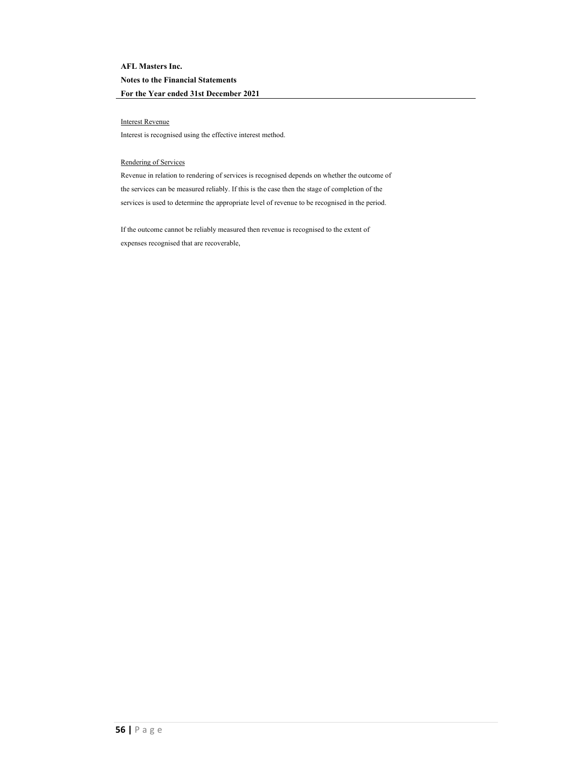## **AFL Masters Inc. Notes to the Financial Statements For the Year ended 31st December 2021**

#### Interest Revenue

Interest is recognised using the effective interest method.

#### Rendering of Services

 Revenue in relation to rendering of services is recognised depends on whether the outcome of the services can be measured reliably. If this is the case then the stage of completion of the services is used to determine the appropriate level of revenue to be recognised in the period.

 If the outcome cannot be reliably measured then revenue is recognised to the extent of expenses recognised that are recoverable,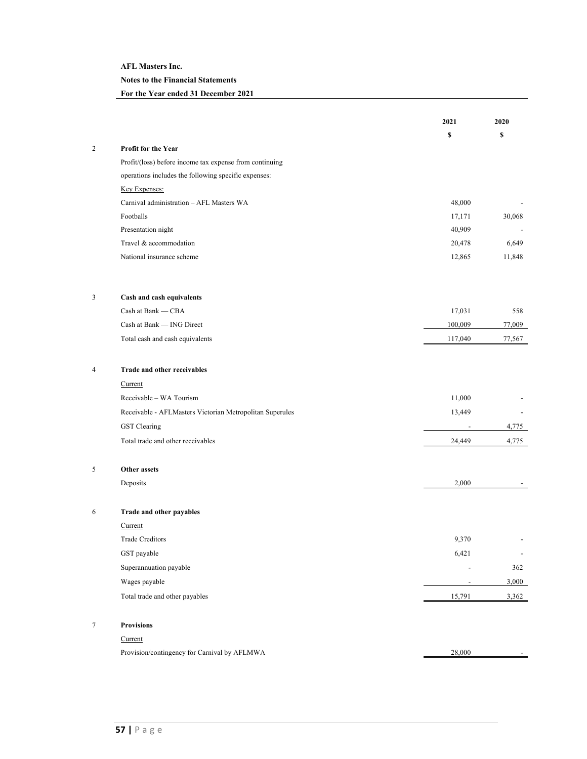**AFL Masters Inc. Notes to the Financial Statements For the Year ended 31 December 2021** 

|   |                                                          | 2021                     | 2020                     |
|---|----------------------------------------------------------|--------------------------|--------------------------|
|   |                                                          | \$                       | \$                       |
| 2 | Profit for the Year                                      |                          |                          |
|   | Profit/(loss) before income tax expense from continuing  |                          |                          |
|   | operations includes the following specific expenses:     |                          |                          |
|   | Key Expenses:                                            |                          |                          |
|   | Carnival administration - AFL Masters WA                 | 48,000                   |                          |
|   | Footballs                                                | 17,171                   | 30,068                   |
|   | Presentation night                                       | 40,909                   |                          |
|   | Travel & accommodation                                   | 20,478                   | 6,649                    |
|   | National insurance scheme                                | 12,865                   | 11,848                   |
| 3 | Cash and cash equivalents                                |                          |                          |
|   | Cash at Bank — CBA                                       | 17,031                   | 558                      |
|   | Cash at Bank - ING Direct                                | 100,009                  | 77,009                   |
|   | Total cash and cash equivalents                          | 117,040                  | 77,567                   |
| 4 | Trade and other receivables                              |                          |                          |
|   | Current                                                  |                          |                          |
|   | Receivable - WA Tourism                                  | 11,000                   |                          |
|   | Receivable - AFLMasters Victorian Metropolitan Superules | 13,449                   |                          |
|   | <b>GST</b> Clearing                                      | $\overline{a}$           | 4,775                    |
|   | Total trade and other receivables                        | 24,449                   | 4,775                    |
| 5 | Other assets                                             |                          |                          |
|   | Deposits                                                 | 2,000                    |                          |
| 6 | Trade and other payables                                 |                          |                          |
|   | Current                                                  |                          |                          |
|   | <b>Trade Creditors</b>                                   | 9,370                    |                          |
|   | GST payable                                              | 6,421                    | $\overline{\phantom{a}}$ |
|   | Superannuation payable                                   |                          | 362                      |
|   | Wages payable                                            | $\overline{\phantom{a}}$ | 3,000                    |
|   | Total trade and other payables                           | 15,791                   | 3,362                    |
| 7 | <b>Provisions</b>                                        |                          |                          |
|   | Current                                                  |                          |                          |
|   | Provision/contingency for Carnival by AFLMWA             | 28,000                   |                          |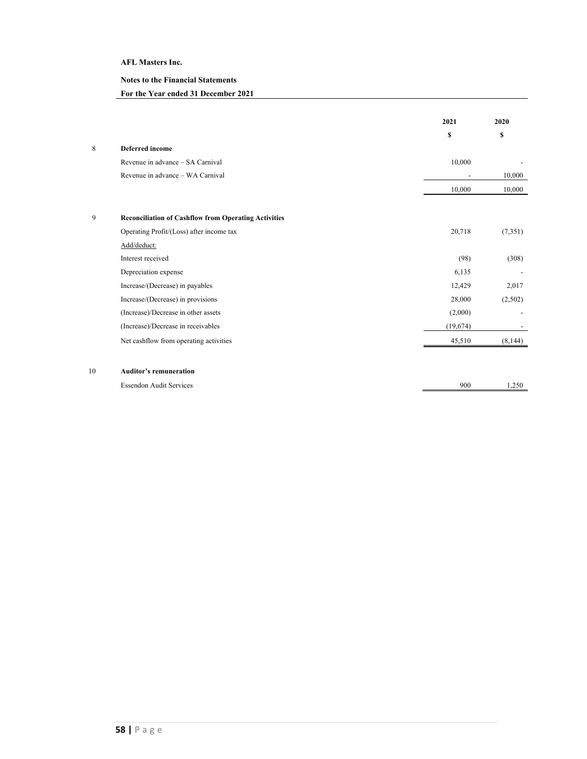**AFL Masters Inc.** 

## **Notes to the Financial Statements**

# **For the Year ended 31 December 2021**

|    |                                                             | 2021     | 2020    |
|----|-------------------------------------------------------------|----------|---------|
|    |                                                             | \$       | \$      |
| 8  | Deferred income                                             |          |         |
|    | Revenue in advance – SA Carnival                            | 10,000   |         |
|    | Revenue in advance - WA Carnival                            |          | 10,000  |
|    |                                                             | 10,000   | 10,000  |
|    |                                                             |          |         |
| 9  | <b>Reconciliation of Cashflow from Operating Activities</b> |          |         |
|    | Operating Profit/(Loss) after income tax                    | 20,718   | (7,351) |
|    | Add/deduct:                                                 |          |         |
|    | Interest received                                           | (98)     | (308)   |
|    | Depreciation expense                                        | 6,135    |         |
|    | Increase/(Decrease) in payables                             | 12,429   | 2,017   |
|    | Increase/(Decrease) in provisions                           | 28,000   | (2,502) |
|    | (Increase)/Decrease in other assets                         | (2,000)  |         |
|    | (Increase)/Decrease in receivables                          | (19,674) |         |
|    | Net cashflow from operating activities                      | 45,510   | (8,144) |
| 10 | <b>Auditor's remuneration</b>                               |          |         |
|    | <b>Essendon Audit Services</b>                              | 900      | 1,250   |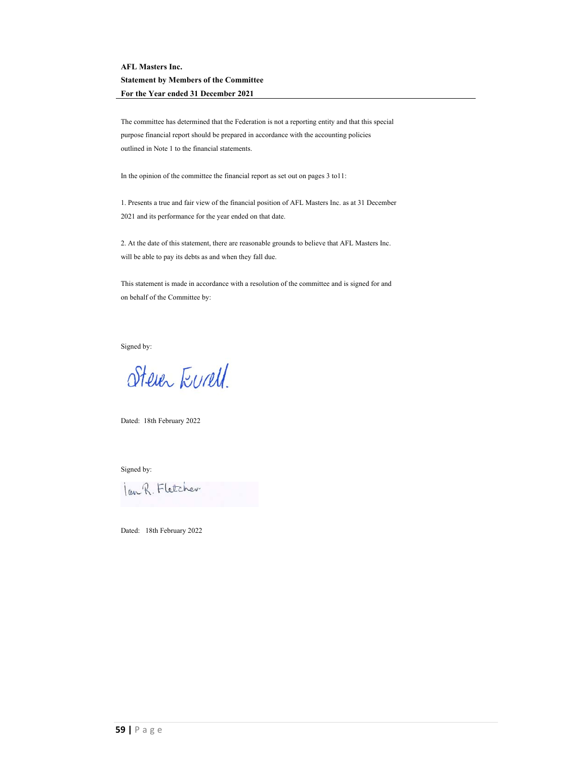The committee has determined that the Federation is not a reporting entity and that this special purpose financial report should be prepared in accordance with the accounting policies outlined in Note 1 to the financial statements.

In the opinion of the committee the financial report as set out on pages 3 to11:

 1. Presents a true and fair view of the financial position of AFL Masters Inc. as at 31 December 2021 and its performance for the year ended on that date.

 2. At the date of this statement, there are reasonable grounds to believe that AFL Masters Inc. will be able to pay its debts as and when they fall due.

 This statement is made in accordance with a resolution of the committee and is signed for and on behalf of the Committee by:

 $\mathcal{L} = \mathcal{L} \mathcal{L}$ Signed by:

Stein Eurell

Dated: 18th February 2022

 $\mathcal{L} = \mathcal{L} \mathcal{L}$ Signed by:



Dated: 18th February 2022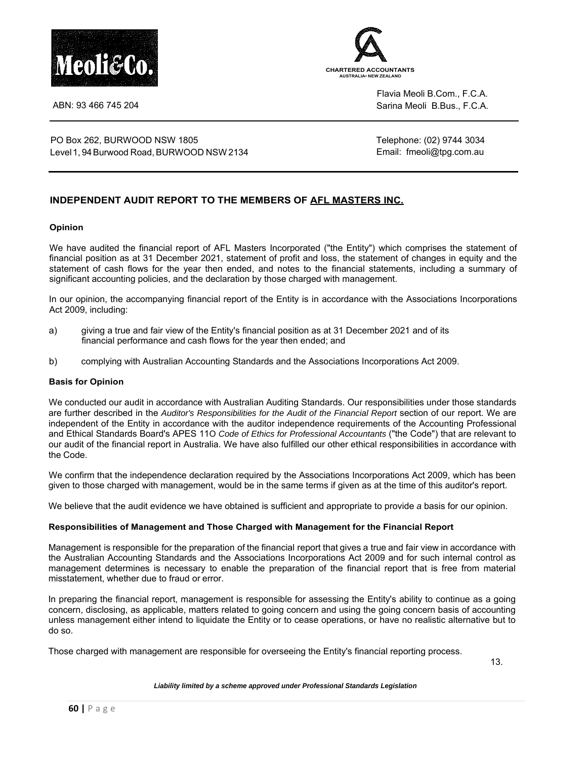

ABN: 93 466 745 204



Flavia Meoli B.Com., F.C.A. Sarina Meoli B.Bus., F.C.A.

PO Box 262, BURWOOD NSW 1805 Level 1, 94 Burwood Road, BURWOOD NSW 2134

Telephone: (02) 9744 3034 Email: fmeoli@tpg.com.au

# **INDEPENDENT AUDIT REPORT TO THE MEMBERS OF AFL MASTERS INC.**

## **Opinion**

We have audited the financial report of AFL Masters Incorporated ("the Entity") which comprises the statement of financial position as at 31 December 2021, statement of profit and loss, the statement of changes in equity and the statement of cash flows for the year then ended, and notes to the financial statements, including a summary of significant accounting policies, and the declaration by those charged with management.

In our opinion, the accompanying financial report of the Entity is in accordance with the Associations Incorporations Act 2009, including:

- a) giving a true and fair view of the Entity's financial position as at 31 December 2021 and of its financial performance and cash flows for the year then ended; and
- b) complying with Australian Accounting Standards and the Associations Incorporations Act 2009.

## **Basis for Opinion**

We conducted our audit in accordance with Australian Auditing Standards. Our responsibilities under those standards are further described in the *Auditor's Responsibilities for the Audit of the Financial Report* section of our report. We are independent of the Entity in accordance with the auditor independence requirements of the Accounting Professional and Ethical Standards Board's APES 11O *Code of Ethics for Professional Accountants* ("the Code") that are relevant to our audit of the financial report in Australia. We have also fulfilled our other ethical responsibilities in accordance with the Code.

We confirm that the independence declaration required by the Associations Incorporations Act 2009, which has been given to those charged with management, would be in the same terms if given as at the time of this auditor's report.

We believe that the audit evidence we have obtained is sufficient and appropriate to provide *a* basis for our opinion.

## **Responsibilities of Management and Those Charged with Management for the Financial Report**

Management is responsible for the preparation of the financial report that gives a true and fair view in accordance with the Australian Accounting Standards and the Associations Incorporations Act 2009 and for such internal control as management determines is necessary to enable the preparation of the financial report that is free from material misstatement, whether due to fraud or error.

In preparing the financial report, management is responsible for assessing the Entity's ability to continue as a going concern, disclosing, as applicable, matters related to going concern and using the going concern basis of accounting unless management either intend to liquidate the Entity or to cease operations, or have no realistic alternative but to do so.

Those charged with management are responsible for overseeing the Entity's financial reporting process.